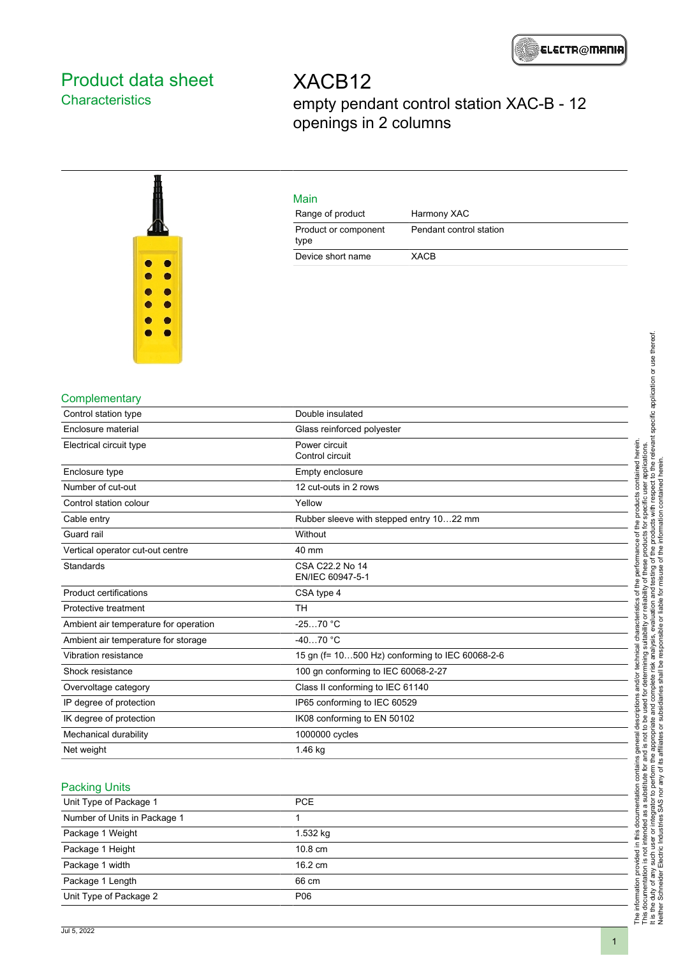# <span id="page-0-0"></span>Product data sheet **Characteristics**

XACB12 empty pendant control station XAC-B - 12 openings in 2 columns



# Main

| <u>IVICILI</u>               |                         |  |
|------------------------------|-------------------------|--|
| Range of product             | Harmony XAC             |  |
| Product or component<br>type | Pendant control station |  |
| Device short name            | XACB                    |  |

## **Complementary**

| Double insulated                                |  |  |  |
|-------------------------------------------------|--|--|--|
| Glass reinforced polyester                      |  |  |  |
| Power circuit<br>Control circuit                |  |  |  |
| Empty enclosure                                 |  |  |  |
| 12 cut-outs in 2 rows                           |  |  |  |
| Yellow                                          |  |  |  |
| Rubber sleeve with stepped entry 1022 mm        |  |  |  |
| Without                                         |  |  |  |
| 40 mm                                           |  |  |  |
| CSA C22.2 No 14<br>EN/IEC 60947-5-1             |  |  |  |
| CSA type 4                                      |  |  |  |
| <b>TH</b>                                       |  |  |  |
| $-2570 °C$                                      |  |  |  |
| $-4070 °C$                                      |  |  |  |
| 15 gn (f= 10500 Hz) conforming to IEC 60068-2-6 |  |  |  |
| 100 gn conforming to IEC 60068-2-27             |  |  |  |
| Class II conforming to IEC 61140                |  |  |  |
| IP65 conforming to IEC 60529                    |  |  |  |
| IK08 conforming to EN 50102                     |  |  |  |
| 1000000 cycles                                  |  |  |  |
| 1.46 kg                                         |  |  |  |
|                                                 |  |  |  |

#### Packing Units

| Unit Type of Package 1       | <b>PCE</b>        |  |
|------------------------------|-------------------|--|
| Number of Units in Package 1 |                   |  |
| Package 1 Weight             | 1.532 kg          |  |
| Package 1 Height             | $10.8 \text{ cm}$ |  |
| Package 1 width              | $16.2 \text{ cm}$ |  |
| Package 1 Length             | 66 cm             |  |
| Unit Type of Package 2       | P06               |  |
|                              |                   |  |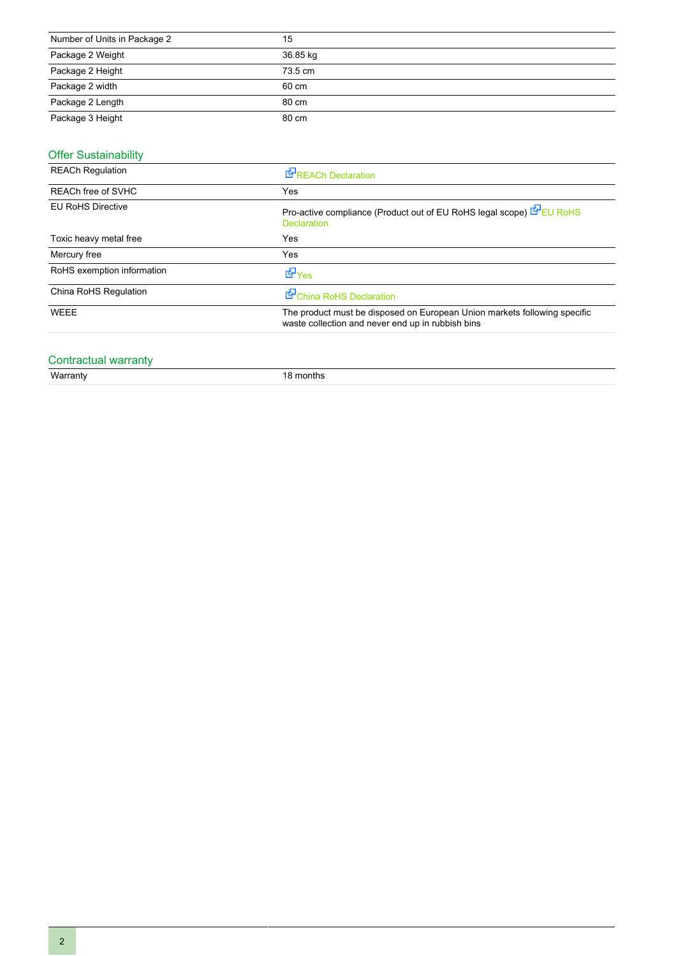| Number of Units in Package 2 | 15       |
|------------------------------|----------|
| Package 2 Weight             | 36.85 kg |
| Package 2 Height             | 73.5 cm  |
| Package 2 width              | 60 cm    |
| Package 2 Length             | 80 cm    |
| Package 3 Height             | 80 cm    |

# **Offer Sustainability**

| <b>REACh Regulation</b>    | REACh Declaration                                                                                                              |  |  |
|----------------------------|--------------------------------------------------------------------------------------------------------------------------------|--|--|
| REACh free of SVHC         | Yes                                                                                                                            |  |  |
| <b>EU RoHS Directive</b>   | Pro-active compliance (Product out of EU RoHS legal scope) E EU RoHS<br><b>Declaration</b>                                     |  |  |
| Toxic heavy metal free     | Yes                                                                                                                            |  |  |
| Mercury free               | Yes                                                                                                                            |  |  |
| RoHS exemption information | <b>E</b> Yes                                                                                                                   |  |  |
| China RoHS Regulation      | China RoHS Declaration                                                                                                         |  |  |
| WEEE                       | The product must be disposed on European Union markets following specific<br>waste collection and never end up in rubbish bins |  |  |
|                            |                                                                                                                                |  |  |

# Contractual warranty<br>Warranty

18 months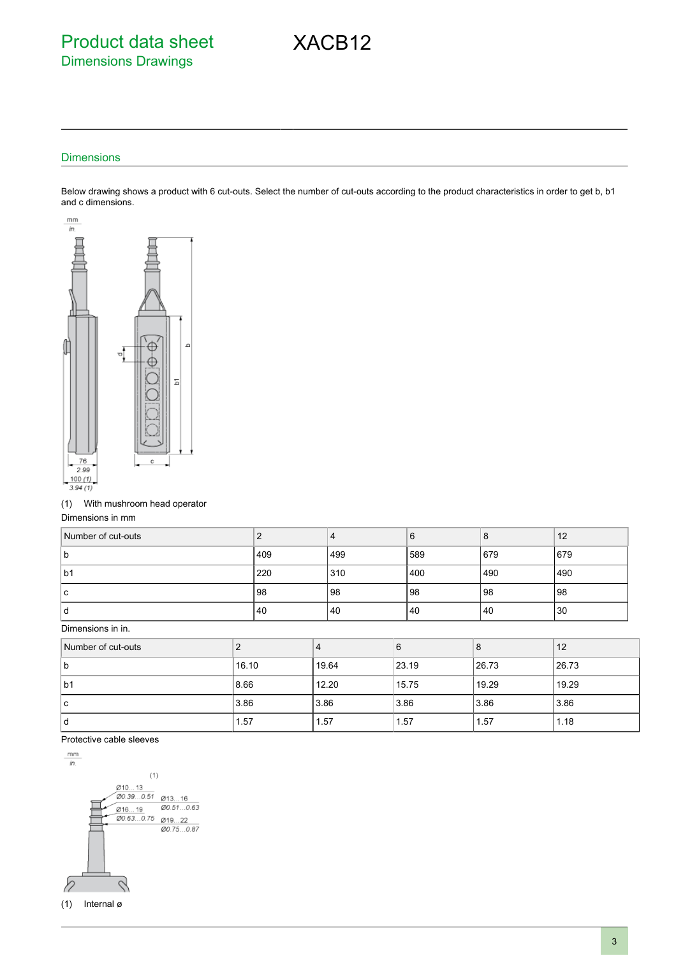# Product data sheet Dimensions Drawings

#### **Dimensions**

Below drawing shows a product with 6 cut-outs. Select the number of cut-outs according to the product characteristics in order to get b, b1 and c dimensions.

XACB12



#### (1) With mushroom head operator

Dimensions in mm

| Number of cut-outs |     | 4   | 6   | 8   | 12  |
|--------------------|-----|-----|-----|-----|-----|
| l b                | 409 | 499 | 589 | 679 | 679 |
| lb1                | 220 | 310 | 400 | 490 | 490 |
| l c                | 98  | 98  | 98  | 98  | 98  |
| ١d                 | 40  | 40  | 40  | 40  | 30  |

Dimensions in in.

| Number of cut-outs |       |       | 6     | 8     | 12     |
|--------------------|-------|-------|-------|-------|--------|
| b                  | 16.10 | 19.64 | 23.19 | 26.73 | 126.73 |
| lb1                | 8.66  | 12.20 | 15.75 | 19.29 | 19.29  |
| l c                | 3.86  | 3.86  | 3.86  | 3.86  | 3.86   |
| ۱d                 | 1.57  | 1.57  | 1.57  | 1.57  | 1.18   |

#### Protective cable sleeves

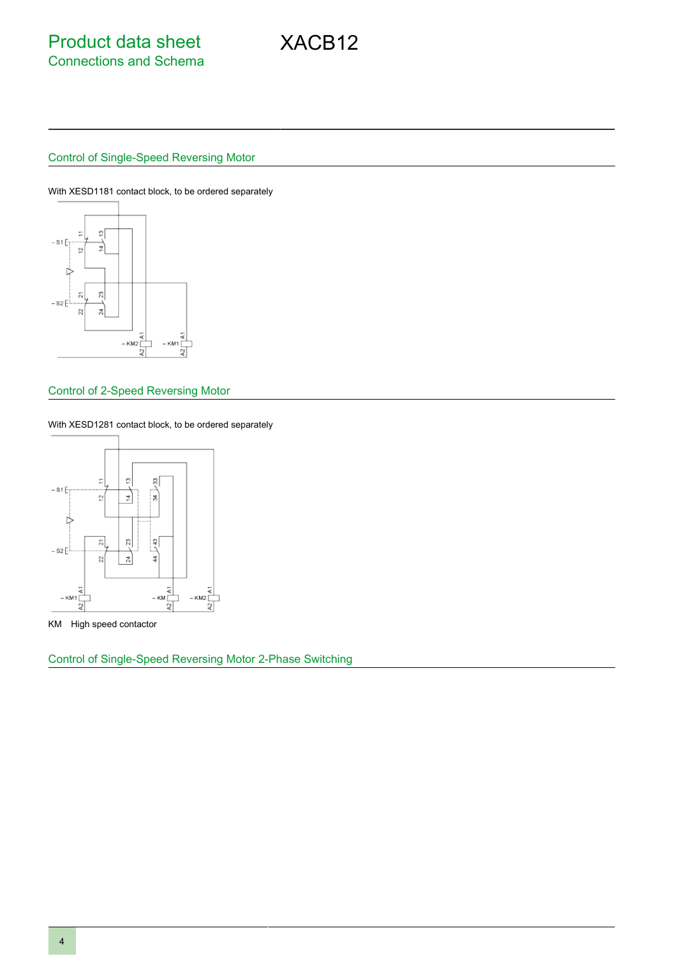## Control of Single-Speed Reversing Motor

With XESD1181 contact block, to be ordered separately



#### Control of 2-Speed Reversing Motor

With XESD1281 contact block, to be ordered separately



KM High speed contactor

Control of Single-Speed Reversing Motor 2-Phase Switching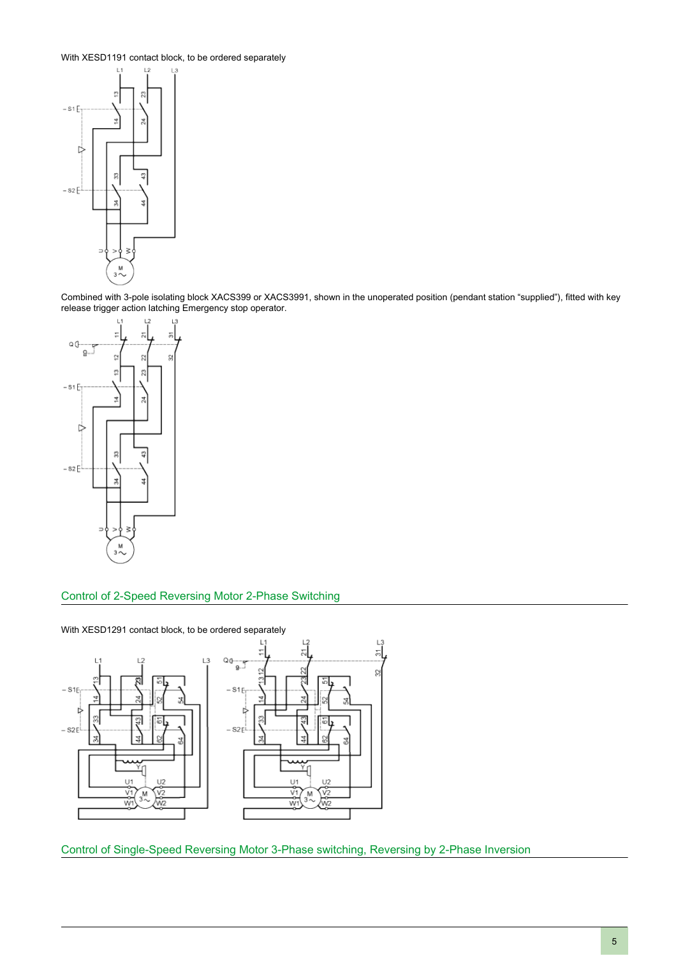With XESD1191 contact block, to be ordered separately



Combined with 3-pole isolating block XACS399 or XACS3991, shown in the unoperated position (pendant station "supplied"), fitted with key release trigger action latching Emergency stop operator.



### Control of 2-Speed Reversing Motor 2-Phase Switching

With XESD1291 contact block, to be ordered separately





Control of Single-Speed Reversing Motor 3-Phase switching, Reversing by 2-Phase Inversion